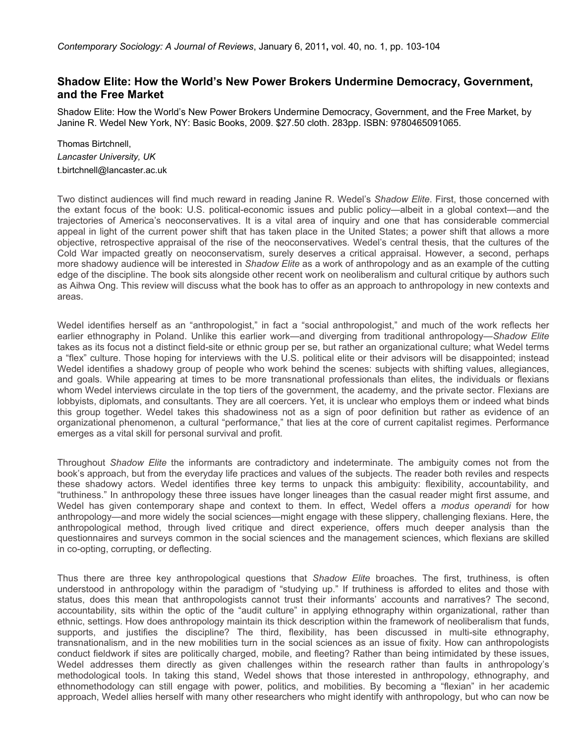## **Shadow Elite: How the World's New Power Brokers Undermine Democracy, Government, and the Free Market**

Shadow Elite: How the World's New Power Brokers Undermine Democracy, Government, and the Free Market, by Janine R. Wedel New York, NY: Basic Books, 2009. \$27.50 cloth. 283pp. ISBN: 9780465091065.

Thomas Birtchnell, *Lancaster University, UK*  t.birtchnell@lancaster.ac.uk

Two distinct audiences will find much reward in reading Janine R. Wedel's *Shadow Elite*. First, those concerned with the extant focus of the book: U.S. political-economic issues and public policy—albeit in a global context—and the trajectories of America's neoconservatives. It is a vital area of inquiry and one that has considerable commercial appeal in light of the current power shift that has taken place in the United States; a power shift that allows a more objective, retrospective appraisal of the rise of the neoconservatives. Wedel's central thesis, that the cultures of the Cold War impacted greatly on neoconservatism, surely deserves a critical appraisal. However, a second, perhaps more shadowy audience will be interested in *Shadow Elite* as a work of anthropology and as an example of the cutting edge of the discipline. The book sits alongside other recent work on neoliberalism and cultural critique by authors such as Aihwa Ong. This review will discuss what the book has to offer as an approach to anthropology in new contexts and areas.

Wedel identifies herself as an "anthropologist," in fact a "social anthropologist," and much of the work reflects her earlier ethnography in Poland. Unlike this earlier work—and diverging from traditional anthropology—*Shadow Elite* takes as its focus not a distinct field-site or ethnic group per se, but rather an organizational culture; what Wedel terms a "flex" culture. Those hoping for interviews with the U.S. political elite or their advisors will be disappointed; instead Wedel identifies a shadowy group of people who work behind the scenes: subjects with shifting values, allegiances, and goals. While appearing at times to be more transnational professionals than elites, the individuals or flexians whom Wedel interviews circulate in the top tiers of the government, the academy, and the private sector. Flexians are lobbyists, diplomats, and consultants. They are all coercers. Yet, it is unclear who employs them or indeed what binds this group together. Wedel takes this shadowiness not as a sign of poor definition but rather as evidence of an organizational phenomenon, a cultural "performance," that lies at the core of current capitalist regimes. Performance emerges as a vital skill for personal survival and profit.

Throughout *Shadow Elite* the informants are contradictory and indeterminate. The ambiguity comes not from the book's approach, but from the everyday life practices and values of the subjects. The reader both reviles and respects these shadowy actors. Wedel identifies three key terms to unpack this ambiguity: flexibility, accountability, and "truthiness." In anthropology these three issues have longer lineages than the casual reader might first assume, and Wedel has given contemporary shape and context to them. In effect, Wedel offers a *modus operandi* for how anthropology—and more widely the social sciences—might engage with these slippery, challenging flexians. Here, the anthropological method, through lived critique and direct experience, offers much deeper analysis than the questionnaires and surveys common in the social sciences and the management sciences, which flexians are skilled in co-opting, corrupting, or deflecting.

Thus there are three key anthropological questions that *Shadow Elite* broaches. The first, truthiness, is often understood in anthropology within the paradigm of "studying up." If truthiness is afforded to elites and those with status, does this mean that anthropologists cannot trust their informants' accounts and narratives? The second, accountability, sits within the optic of the "audit culture" in applying ethnography within organizational, rather than ethnic, settings. How does anthropology maintain its thick description within the framework of neoliberalism that funds, supports, and justifies the discipline? The third, flexibility, has been discussed in multi-site ethnography, transnationalism, and in the new mobilities turn in the social sciences as an issue of fixity. How can anthropologists conduct fieldwork if sites are politically charged, mobile, and fleeting? Rather than being intimidated by these issues, Wedel addresses them directly as given challenges within the research rather than faults in anthropology's methodological tools. In taking this stand, Wedel shows that those interested in anthropology, ethnography, and ethnomethodology can still engage with power, politics, and mobilities. By becoming a "flexian" in her academic approach, Wedel allies herself with many other researchers who might identify with anthropology, but who can now be